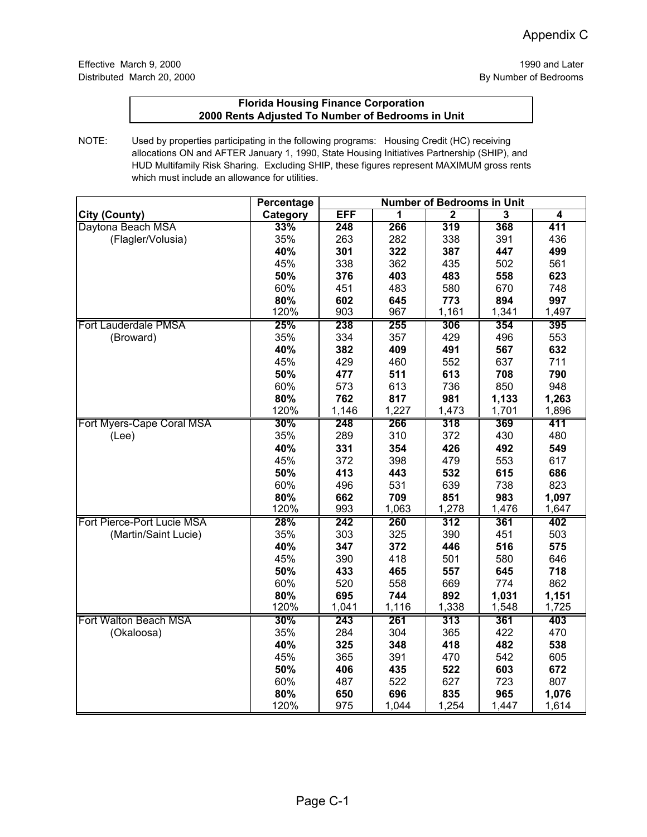|                            | <b>Percentage</b> |       |       |                |                         |                         |
|----------------------------|-------------------|-------|-------|----------------|-------------------------|-------------------------|
| City (County)              | Category          | EFF   | 1     | $\overline{2}$ | $\overline{\mathbf{3}}$ | $\overline{\mathbf{4}}$ |
| Daytona Beach MSA          | 33%               | 248   | 266   | 319            | 368                     | 411                     |
| (Flagler/Volusia)          | 35%               | 263   | 282   | 338            | 391                     | 436                     |
|                            | 40%               | 301   | 322   | 387            | 447                     | 499                     |
|                            | 45%               | 338   | 362   | 435            | 502                     | 561                     |
|                            | 50%               | 376   | 403   | 483            | 558                     | 623                     |
|                            | 60%               | 451   | 483   | 580            | 670                     | 748                     |
|                            | 80%               | 602   | 645   | 773            | 894                     | 997                     |
|                            | 120%              | 903   | 967   | 1,161          | 1,341                   | 1,497                   |
| Fort Lauderdale PMSA       | 25%               | 238   | 255   | 306            | 354                     | 395                     |
| (Broward)                  | 35%               | 334   | 357   | 429            | 496                     | 553                     |
|                            | 40%               | 382   | 409   | 491            | 567                     | 632                     |
|                            | 45%               | 429   | 460   | 552            | 637                     | 711                     |
|                            | 50%               | 477   | 511   | 613            | 708                     | 790                     |
|                            | 60%               | 573   | 613   | 736            | 850                     | 948                     |
|                            | 80%               | 762   | 817   | 981            | 1,133                   | 1,263                   |
|                            | 120%              | 1,146 | 1,227 | 1,473          | 1,701                   | 1,896                   |
| Fort Myers-Cape Coral MSA  | 30%               | 248   | 266   | 318            | 369                     | 411                     |
| (Lee)                      | 35%               | 289   | 310   | 372            | 430                     | 480                     |
|                            | 40%               | 331   | 354   | 426            | 492                     | 549                     |
|                            | 45%               | 372   | 398   | 479            | 553                     | 617                     |
|                            | 50%               | 413   | 443   | 532            | 615                     | 686                     |
|                            | 60%               | 496   | 531   | 639            | 738                     | 823                     |
|                            | 80%               | 662   | 709   | 851            | 983                     | 1,097                   |
|                            | 120%              | 993   | 1,063 | 1,278          | 1,476                   | 1,647                   |
| Fort Pierce-Port Lucie MSA | 28%               | 242   | 260   | 312            | 361                     | 402                     |
| (Martin/Saint Lucie)       | 35%               | 303   | 325   | 390            | 451                     | 503                     |
|                            | 40%               | 347   | 372   | 446            | 516                     | 575                     |
|                            | 45%               | 390   | 418   | 501            | 580                     | 646                     |
|                            | 50%               | 433   | 465   | 557            | 645                     | 718                     |
|                            | 60%               | 520   | 558   | 669            | 774                     | 862                     |
|                            | 80%               | 695   | 744   | 892            | 1,031                   | 1,151                   |
|                            | 120%              | 1,041 | 1,116 | 1,338          | 1,548                   | 1,725                   |
| Fort Walton Beach MSA      | 30%               | 243   | 261   | 313            | 361                     | 403                     |
| (Okaloosa)                 | 35%               | 284   | 304   | 365            | 422                     | 470                     |
|                            | 40%               | 325   | 348   | 418            | 482                     | 538                     |
|                            | 45%               | 365   | 391   | 470            | 542                     | 605                     |
|                            | 50%               | 406   | 435   | 522            | 603                     | 672                     |
|                            | 60%               | 487   | 522   | 627            | 723                     | 807                     |
|                            | 80%               | 650   | 696   | 835            | 965                     | 1,076                   |
|                            | 120%              | 975   | 1,044 | 1,254          | 1,447                   | 1,614                   |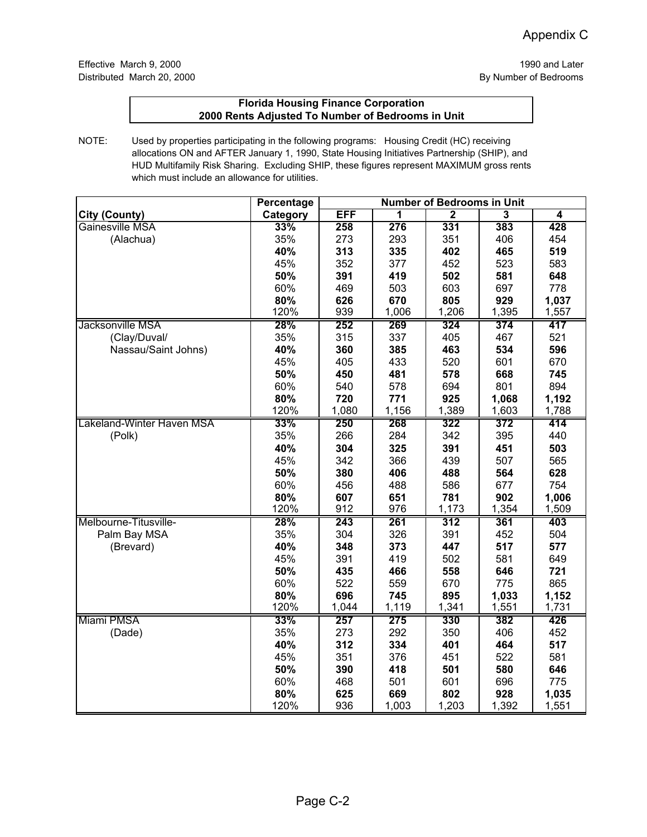|                           | Percentage | <b>Number of Bedrooms in Unit</b> |       |                |                |                |
|---------------------------|------------|-----------------------------------|-------|----------------|----------------|----------------|
| <b>City (County)</b>      | Category   | <b>EFF</b>                        | 1     | $\overline{2}$ | $\overline{3}$ | $\overline{4}$ |
| Gainesville MSA           | 33%        | 258                               | 276   | 331            | 383            | 428            |
| (Alachua)                 | 35%        | 273                               | 293   | 351            | 406            | 454            |
|                           | 40%        | 313                               | 335   | 402            | 465            | 519            |
|                           | 45%        | 352                               | 377   | 452            | 523            | 583            |
|                           | 50%        | 391                               | 419   | 502            | 581            | 648            |
|                           | 60%        | 469                               | 503   | 603            | 697            | 778            |
|                           | 80%        | 626                               | 670   | 805            | 929            | 1,037          |
|                           | 120%       | 939                               | 1,006 | 1,206          | 1,395          | 1,557          |
| Jacksonville MSA          | 28%        | 252                               | 269   | 324            | 374            | 417            |
| (Clay/Duval/              | 35%        | 315                               | 337   | 405            | 467            | 521            |
| Nassau/Saint Johns)       | 40%        | 360                               | 385   | 463            | 534            | 596            |
|                           | 45%        | 405                               | 433   | 520            | 601            | 670            |
|                           | 50%        | 450                               | 481   | 578            | 668            | 745            |
|                           | 60%        | 540                               | 578   | 694            | 801            | 894            |
|                           | 80%        | 720                               | 771   | 925            | 1,068          | 1,192          |
|                           | 120%       | 1,080                             | 1,156 | 1,389          | 1,603          | 1,788          |
| Lakeland-Winter Haven MSA | 33%        | 250                               | 268   | 322            | 372            | 414            |
| (Polk)                    | 35%        | 266                               | 284   | 342            | 395            | 440            |
|                           | 40%        | 304                               | 325   | 391            | 451            | 503            |
|                           | 45%        | 342                               | 366   | 439            | 507            | 565            |
|                           | 50%        | 380                               | 406   | 488            | 564            | 628            |
|                           | 60%        | 456                               | 488   | 586            | 677            | 754            |
|                           | 80%        | 607                               | 651   | 781            | 902            | 1,006          |
|                           | 120%       | 912                               | 976   | 1,173          | 1,354          | 1,509          |
| Melbourne-Titusville-     | 28%        | 243                               | 261   | 312            | 361            | 403            |
| Palm Bay MSA              | 35%        | 304                               | 326   | 391            | 452            | 504            |
| (Brevard)                 | 40%        | 348                               | 373   | 447            | 517            | 577            |
|                           | 45%        | 391                               | 419   | 502            | 581            | 649            |
|                           | 50%        | 435                               | 466   | 558            | 646            | 721            |
|                           | 60%        | 522                               | 559   | 670            | 775            | 865            |
|                           | 80%        | 696                               | 745   | 895            | 1,033          | 1,152          |
|                           | 120%       | 1,044                             | 1,119 | 1,341          | 1,551          | 1,731          |
| Miami PMSA                | 33%        | 257                               | 275   | 330            | 382            | 426            |
| (Dade)                    | 35%        | 273                               | 292   | 350            | 406            | 452            |
|                           | 40%        | 312                               | 334   | 401            | 464            | 517            |
|                           | 45%        | 351                               | 376   | 451            | 522            | 581            |
|                           | 50%        | 390                               | 418   | 501            | 580            | 646            |
|                           | 60%        | 468                               | 501   | 601            | 696            | 775            |
|                           | 80%        | 625                               | 669   | 802            | 928            | 1,035          |
|                           | 120%       | 936                               | 1,003 | 1,203          | 1,392          | 1,551          |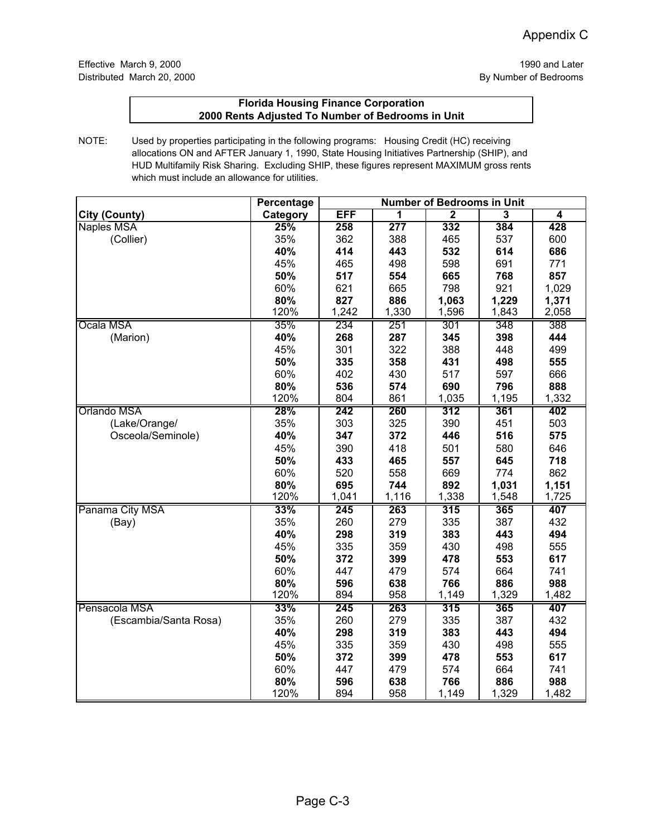|                       | Percentage | <b>Number of Bedrooms in Unit</b> |                  |                  |                |                         |
|-----------------------|------------|-----------------------------------|------------------|------------------|----------------|-------------------------|
| <b>City (County)</b>  | Category   | <b>EFF</b>                        | 1                | $\overline{2}$   | $\overline{3}$ | $\overline{\mathbf{4}}$ |
| Naples MSA            | 25%        | 258                               | $\overline{277}$ | 332              | 384            | 428                     |
| (Collier)             | 35%        | 362                               | 388              | 465              | 537            | 600                     |
|                       | 40%        | 414                               | 443              | 532              | 614            | 686                     |
|                       | 45%        | 465                               | 498              | 598              | 691            | 771                     |
|                       | 50%        | 517                               | 554              | 665              | 768            | 857                     |
|                       | 60%        | 621                               | 665              | 798              | 921            | 1,029                   |
|                       | 80%        | 827                               | 886              | 1,063            | 1,229          | 1,371                   |
|                       | 120%       | 1,242                             | 1,330            | 1,596            | 1,843          | 2,058                   |
| Ocala MSA             | 35%        | 234                               | 251              | 301              | 348            | 388                     |
| (Marion)              | 40%        | 268                               | 287              | 345              | 398            | 444                     |
|                       | 45%        | 301                               | 322              | 388              | 448            | 499                     |
|                       | 50%        | 335                               | 358              | 431              | 498            | 555                     |
|                       | 60%        | 402                               | 430              | 517              | 597            | 666                     |
|                       | 80%        | 536                               | 574              | 690              | 796            | 888                     |
|                       | 120%       | 804                               | 861              | 1,035            | 1,195          | 1,332                   |
| Orlando MSA           | 28%        | 242                               | 260              | 312              | 361            | 402                     |
| (Lake/Orange/         | 35%        | 303                               | 325              | 390              | 451            | 503                     |
| Osceola/Seminole)     | 40%        | 347                               | 372              | 446              | 516            | 575                     |
|                       | 45%        | 390                               | 418              | 501              | 580            | 646                     |
|                       | 50%        | 433                               | 465              | 557              | 645            | 718                     |
|                       | 60%        | 520                               | 558              | 669              | 774            | 862                     |
|                       | 80%        | 695                               | 744              | 892              | 1,031          | 1,151                   |
|                       | 120%       | 1,041                             | 1,116            | 1,338            | 1,548          | 1,725                   |
| Panama City MSA       | 33%        | 245                               | 263              | $\overline{315}$ | 365            | 407                     |
| (Bay)                 | 35%        | 260                               | 279              | 335              | 387            | 432                     |
|                       | 40%        | 298                               | 319              | 383              | 443            | 494                     |
|                       | 45%        | 335                               | 359              | 430              | 498            | 555                     |
|                       | 50%        | 372                               | 399              | 478              | 553            | 617                     |
|                       | 60%        | 447                               | 479              | 574              | 664            | 741                     |
|                       | 80%        | 596                               | 638              | 766              | 886            | 988                     |
|                       | 120%       | 894                               | 958              | 1,149            | 1,329          | 1,482                   |
| Pensacola MSA         | 33%        | 245                               | 263              | 315              | 365            | 407                     |
| (Escambia/Santa Rosa) | 35%        | 260                               | 279              | 335              | 387            | 432                     |
|                       | 40%        | 298                               | 319              | 383              | 443            | 494                     |
|                       | 45%        | 335                               | 359              | 430              | 498            | 555                     |
|                       | 50%        | 372                               | 399              | 478              | 553            | 617                     |
|                       | 60%        | 447                               | 479              | 574              | 664            | 741                     |
|                       | 80%        | 596                               | 638              | 766              | 886            | 988                     |
|                       | 120%       | 894                               | 958              | 1,149            | 1,329          | 1,482                   |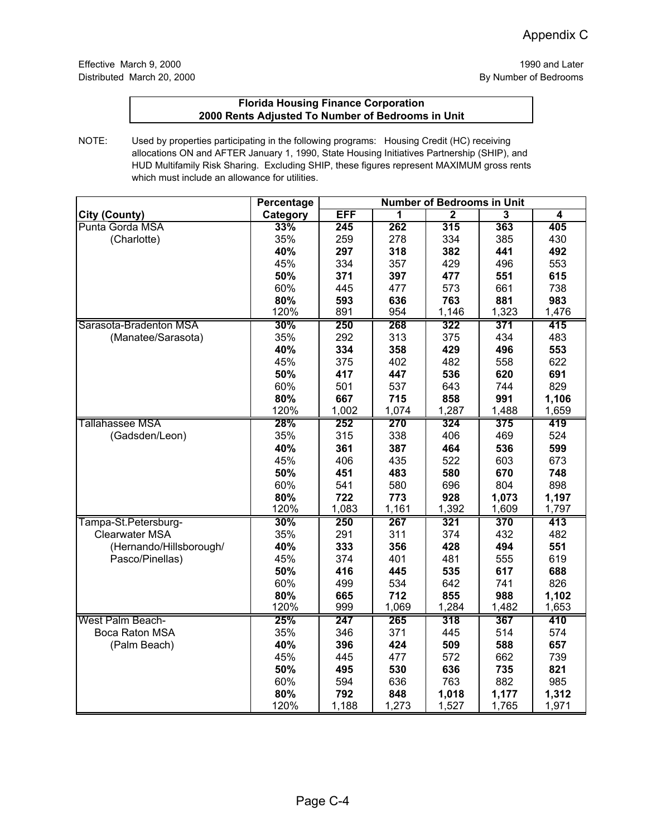|                         | Percentage | <b>Number of Bedrooms in Unit</b> |       |                |                         |                |
|-------------------------|------------|-----------------------------------|-------|----------------|-------------------------|----------------|
| <b>City (County)</b>    | Category   | EFF                               | 1     | $\overline{2}$ | $\overline{\mathbf{3}}$ | $\overline{4}$ |
| Punta Gorda MSA         | 33%        | 245                               | 262   | 315            | 363                     | 405            |
| (Charlotte)             | 35%        | 259                               | 278   | 334            | 385                     | 430            |
|                         | 40%        | 297                               | 318   | 382            | 441                     | 492            |
|                         | 45%        | 334                               | 357   | 429            | 496                     | 553            |
|                         | 50%        | 371                               | 397   | 477            | 551                     | 615            |
|                         | 60%        | 445                               | 477   | 573            | 661                     | 738            |
|                         | 80%        | 593                               | 636   | 763            | 881                     | 983            |
|                         | 120%       | 891                               | 954   | 1,146          | 1,323                   | 1,476          |
| Sarasota-Bradenton MSA  | 30%        | 250                               | 268   | 322            | 371                     | 415            |
| (Manatee/Sarasota)      | 35%        | 292                               | 313   | 375            | 434                     | 483            |
|                         | 40%        | 334                               | 358   | 429            | 496                     | 553            |
|                         | 45%        | 375                               | 402   | 482            | 558                     | 622            |
|                         | 50%        | 417                               | 447   | 536            | 620                     | 691            |
|                         | 60%        | 501                               | 537   | 643            | 744                     | 829            |
|                         | 80%        | 667                               | 715   | 858            | 991                     | 1,106          |
|                         | 120%       | 1,002                             | 1,074 | 1,287          | 1,488                   | 1,659          |
| <b>Tallahassee MSA</b>  | 28%        | 252                               | 270   | 324            | 375                     | 419            |
| (Gadsden/Leon)          | 35%        | 315                               | 338   | 406            | 469                     | 524            |
|                         | 40%        | 361                               | 387   | 464            | 536                     | 599            |
|                         | 45%        | 406                               | 435   | 522            | 603                     | 673            |
|                         | 50%        | 451                               | 483   | 580            | 670                     | 748            |
|                         | 60%        | 541                               | 580   | 696            | 804                     | 898            |
|                         | 80%        | 722                               | 773   | 928            | 1,073                   | 1,197          |
|                         | 120%       | 1,083                             | 1,161 | 1,392          | 1,609                   | 1,797          |
| Tampa-St.Petersburg-    | 30%        | 250                               | 267   | 321            | 370                     | 413            |
| Clearwater MSA          | 35%        | 291                               | 311   | 374            | 432                     | 482            |
| (Hernando/Hillsborough/ | 40%        | 333                               | 356   | 428            | 494                     | 551            |
| Pasco/Pinellas)         | 45%        | 374                               | 401   | 481            | 555                     | 619            |
|                         | 50%        | 416                               | 445   | 535            | 617                     | 688            |
|                         | 60%        | 499                               | 534   | 642            | 741                     | 826            |
|                         | 80%        | 665                               | 712   | 855            | 988                     | 1,102          |
|                         | 120%       | 999                               | 1,069 | 1,284          | 1,482                   | 1,653          |
| West Palm Beach-        | 25%        | 247                               | 265   | 318            | 367                     | 410            |
| Boca Raton MSA          | 35%        | 346                               | 371   | 445            | 514                     | 574            |
| (Palm Beach)            | 40%        | 396                               | 424   | 509            | 588                     | 657            |
|                         | 45%        | 445                               | 477   | 572            | 662                     | 739            |
|                         | 50%        | 495                               | 530   | 636            | 735                     | 821            |
|                         | 60%        | 594                               | 636   | 763            | 882                     | 985            |
|                         | 80%        | 792                               | 848   | 1,018          | 1,177                   | 1,312          |
|                         | 120%       | 1,188                             | 1,273 | 1,527          | 1,765                   | 1,971          |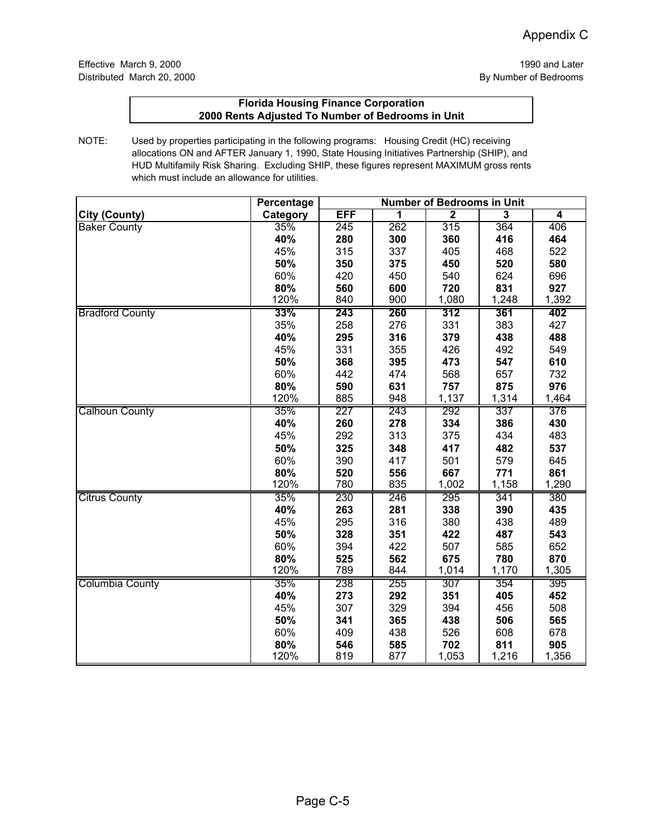|                        | Percentage | <b>Number of Bedrooms in Unit</b> |     |              |       |       |
|------------------------|------------|-----------------------------------|-----|--------------|-------|-------|
| <b>City (County)</b>   | Category   | <b>EFF</b>                        | 1   | $\mathbf{2}$ | 3     | 4     |
| <b>Baker County</b>    | 35%        | 245                               | 262 | 315          | 364   | 406   |
|                        | 40%        | 280                               | 300 | 360          | 416   | 464   |
|                        | 45%        | 315                               | 337 | 405          | 468   | 522   |
|                        | 50%        | 350                               | 375 | 450          | 520   | 580   |
|                        | 60%        | 420                               | 450 | 540          | 624   | 696   |
|                        | 80%        | 560                               | 600 | 720          | 831   | 927   |
|                        | 120%       | 840                               | 900 | 1,080        | 1,248 | 1,392 |
| <b>Bradford County</b> | 33%        | 243                               | 260 | 312          | 361   | 402   |
|                        | 35%        | 258                               | 276 | 331          | 383   | 427   |
|                        | 40%        | 295                               | 316 | 379          | 438   | 488   |
|                        | 45%        | 331                               | 355 | 426          | 492   | 549   |
|                        | 50%        | 368                               | 395 | 473          | 547   | 610   |
|                        | 60%        | 442                               | 474 | 568          | 657   | 732   |
|                        | 80%        | 590                               | 631 | 757          | 875   | 976   |
|                        | 120%       | 885                               | 948 | 1,137        | 1,314 | 1,464 |
| <b>Calhoun County</b>  | 35%        | 227                               | 243 | 292          | 337   | 376   |
|                        | 40%        | 260                               | 278 | 334          | 386   | 430   |
|                        | 45%        | 292                               | 313 | 375          | 434   | 483   |
|                        | 50%        | 325                               | 348 | 417          | 482   | 537   |
|                        | 60%        | 390                               | 417 | 501          | 579   | 645   |
|                        | 80%        | 520                               | 556 | 667          | 771   | 861   |
|                        | 120%       | 780                               | 835 | 1,002        | 1,158 | 1,290 |
| <b>Citrus County</b>   | 35%        | 230                               | 246 | 295          | 341   | 380   |
|                        | 40%        | 263                               | 281 | 338          | 390   | 435   |
|                        | 45%        | 295                               | 316 | 380          | 438   | 489   |
|                        | 50%        | 328                               | 351 | 422          | 487   | 543   |
|                        | 60%        | 394                               | 422 | 507          | 585   | 652   |
|                        | 80%        | 525                               | 562 | 675          | 780   | 870   |
|                        | 120%       | 789                               | 844 | 1,014        | 1,170 | 1,305 |
| Columbia County        | 35%        | 238                               | 255 | 307          | 354   | 395   |
|                        | 40%        | 273                               | 292 | 351          | 405   | 452   |
|                        | 45%        | 307                               | 329 | 394          | 456   | 508   |
|                        | 50%        | 341                               | 365 | 438          | 506   | 565   |
|                        | 60%        | 409                               | 438 | 526          | 608   | 678   |
|                        | 80%        | 546                               | 585 | 702          | 811   | 905   |
|                        | 120%       | 819                               | 877 | 1,053        | 1,216 | 1,356 |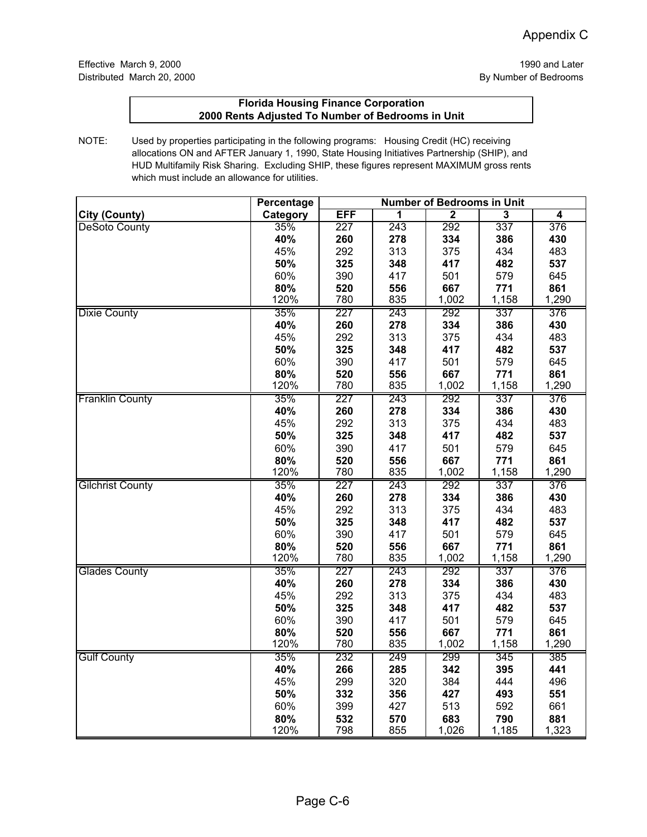|                         | <b>Percentage</b> | <b>Number of Bedrooms in Unit</b> |            |                |                         |              |
|-------------------------|-------------------|-----------------------------------|------------|----------------|-------------------------|--------------|
| <b>City (County)</b>    | Category          | <b>EFF</b>                        | 1          | $\overline{2}$ | $\overline{\mathbf{3}}$ | 4            |
| <b>DeSoto County</b>    | 35%               | 227                               | 243        | 292            | 337                     | 376          |
|                         | 40%               | 260                               | 278        | 334            | 386                     | 430          |
|                         | 45%               | 292                               | 313        | 375            | 434                     | 483          |
|                         | 50%               | 325                               | 348        | 417            | 482                     | 537          |
|                         | 60%               | 390                               | 417        | 501            | 579                     | 645          |
|                         | 80%               | 520                               | 556        | 667            | 771                     | 861          |
|                         | 120%              | 780                               | 835        | 1,002          | 1,158                   | 1,290        |
| <b>Dixie County</b>     | 35%               | 227                               | 243        | 292            | 337                     | 376          |
|                         | 40%               | 260                               | 278        | 334            | 386                     | 430          |
|                         | 45%               | 292                               | 313        | 375            | 434                     | 483          |
|                         | 50%               | 325                               | 348        | 417            | 482                     | 537          |
|                         | 60%               | 390                               | 417        | 501            | 579                     | 645          |
|                         | 80%               | 520                               | 556        | 667            | 771                     | 861          |
|                         | 120%              | 780                               | 835        | 1,002          | 1,158                   | 1,290        |
| <b>Franklin County</b>  | 35%               | 227                               | 243        | 292            | 337                     | 376          |
|                         | 40%               | 260                               | 278        | 334            | 386                     | 430          |
|                         | 45%               | 292                               | 313        | 375            | 434                     | 483          |
|                         | 50%               | 325                               | 348        | 417            | 482                     | 537          |
|                         | 60%               | 390                               | 417        | 501            | 579                     | 645          |
|                         | 80%               | 520                               | 556        | 667            | 771                     | 861          |
|                         | 120%              | 780                               | 835        | 1,002          | 1,158                   | 1,290        |
| <b>Gilchrist County</b> | 35%               | 227                               | 243        | 292            | 337                     | 376          |
|                         | 40%               | 260                               | 278        | 334            | 386                     | 430          |
|                         | 45%               | 292                               | 313        | 375            | 434                     | 483          |
|                         | 50%               | 325                               | 348        | 417            | 482                     | 537          |
|                         | 60%               | 390                               | 417        | 501            | 579                     | 645          |
|                         | 80%               | 520                               | 556        | 667            | 771                     | 861          |
|                         | 120%              | 780                               | 835        | 1,002          | 1,158                   | 1,290        |
| <b>Glades County</b>    | 35%               | 227                               | 243        | 292            | 337                     | 376          |
|                         | 40%               | 260                               | 278        | 334            | 386                     | 430          |
|                         | 45%               | 292                               | 313        | 375            | 434                     | 483          |
|                         | 50%               | 325                               | 348        | 417            | 482                     | 537          |
|                         | 60%               | 390                               | 417        | 501            | 579                     | 645          |
|                         | 80%               | 520<br>780                        | 556<br>835 | 667            | 771                     | 861<br>1,290 |
|                         | 120%              |                                   |            | 1,002          | 1,158                   |              |
| <b>Gulf County</b>      | 35%<br>40%        | 232<br>266                        | 249<br>285 | 299<br>342     | 345<br>395              | 385<br>441   |
|                         | 45%               | 299                               | 320        |                | 444                     | 496          |
|                         | 50%               | 332                               | 356        | 384<br>427     | 493                     | 551          |
|                         | 60%               | 399                               | 427        | 513            | 592                     | 661          |
|                         | 80%               | 532                               | 570        | 683            | 790                     | 881          |
|                         | 120%              | 798                               | 855        | 1,026          | 1,185                   | 1,323        |
|                         |                   |                                   |            |                |                         |              |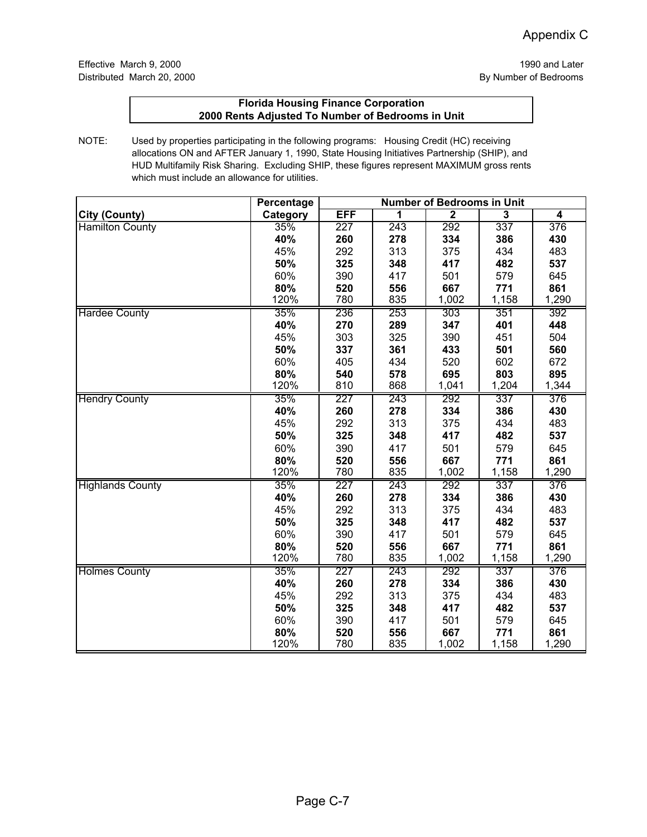|                         | Percentage | <b>Number of Bedrooms in Unit</b> |     |              |       |       |
|-------------------------|------------|-----------------------------------|-----|--------------|-------|-------|
| <b>City (County)</b>    | Category   | <b>EFF</b>                        | 1   | $\mathbf{2}$ | 3     | 4     |
| <b>Hamilton County</b>  | 35%        | $\overline{227}$                  | 243 | 292          | 337   | 376   |
|                         | 40%        | 260                               | 278 | 334          | 386   | 430   |
|                         | 45%        | 292                               | 313 | 375          | 434   | 483   |
|                         | 50%        | 325                               | 348 | 417          | 482   | 537   |
|                         | 60%        | 390                               | 417 | 501          | 579   | 645   |
|                         | 80%        | 520                               | 556 | 667          | 771   | 861   |
|                         | 120%       | 780                               | 835 | 1,002        | 1,158 | 1,290 |
| <b>Hardee County</b>    | 35%        | 236                               | 253 | 303          | 351   | 392   |
|                         | 40%        | 270                               | 289 | 347          | 401   | 448   |
|                         | 45%        | 303                               | 325 | 390          | 451   | 504   |
|                         | 50%        | 337                               | 361 | 433          | 501   | 560   |
|                         | 60%        | 405                               | 434 | 520          | 602   | 672   |
|                         | 80%        | 540                               | 578 | 695          | 803   | 895   |
|                         | 120%       | 810                               | 868 | 1,041        | 1,204 | 1,344 |
| <b>Hendry County</b>    | 35%        | 227                               | 243 | 292          | 337   | 376   |
|                         | 40%        | 260                               | 278 | 334          | 386   | 430   |
|                         | 45%        | 292                               | 313 | 375          | 434   | 483   |
|                         | 50%        | 325                               | 348 | 417          | 482   | 537   |
|                         | 60%        | 390                               | 417 | 501          | 579   | 645   |
|                         | 80%        | 520                               | 556 | 667          | 771   | 861   |
|                         | 120%       | 780                               | 835 | 1,002        | 1,158 | 1,290 |
| <b>Highlands County</b> | 35%        | 227                               | 243 | 292          | 337   | 376   |
|                         | 40%        | 260                               | 278 | 334          | 386   | 430   |
|                         | 45%        | 292                               | 313 | 375          | 434   | 483   |
|                         | 50%        | 325                               | 348 | 417          | 482   | 537   |
|                         | 60%        | 390                               | 417 | 501          | 579   | 645   |
|                         | 80%        | 520                               | 556 | 667          | 771   | 861   |
|                         | 120%       | 780                               | 835 | 1,002        | 1,158 | 1,290 |
| <b>Holmes County</b>    | 35%        | 227                               | 243 | 292          | 337   | 376   |
|                         | 40%        | 260                               | 278 | 334          | 386   | 430   |
|                         | 45%        | 292                               | 313 | 375          | 434   | 483   |
|                         | 50%        | 325                               | 348 | 417          | 482   | 537   |
|                         | 60%        | 390                               | 417 | 501          | 579   | 645   |
|                         | 80%        | 520                               | 556 | 667          | 771   | 861   |
|                         | 120%       | 780                               | 835 | 1,002        | 1,158 | 1,290 |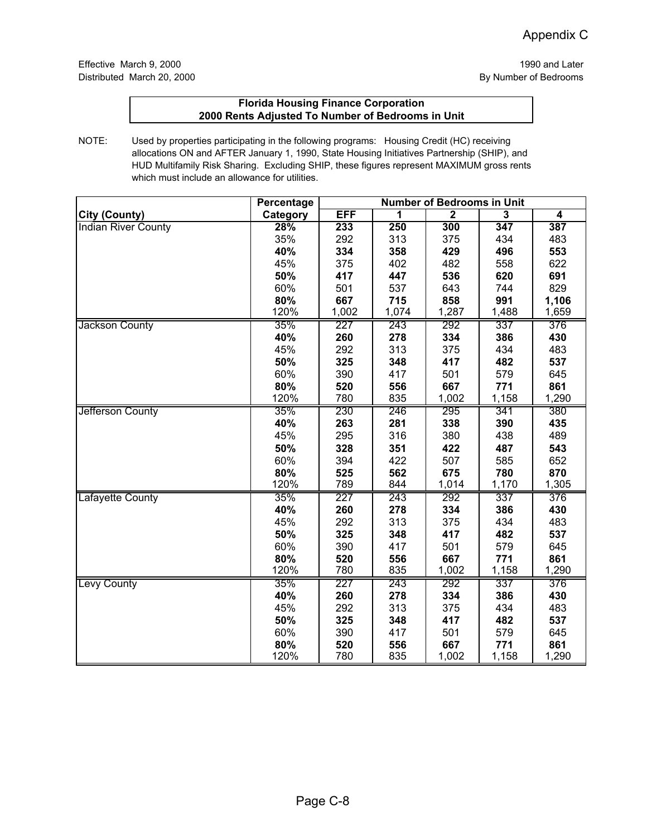|                            | <b>Percentage</b> | <b>Number of Bedrooms in Unit</b> |       |                         |       |       |
|----------------------------|-------------------|-----------------------------------|-------|-------------------------|-------|-------|
| <b>City (County)</b>       | Category          | <b>EFF</b>                        | 1     | $\overline{\mathbf{2}}$ | 3     | 4     |
| <b>Indian River County</b> | 28%               | 233                               | 250   | 300                     | 347   | 387   |
|                            | 35%               | 292                               | 313   | 375                     | 434   | 483   |
|                            | 40%               | 334                               | 358   | 429                     | 496   | 553   |
|                            | 45%               | 375                               | 402   | 482                     | 558   | 622   |
|                            | 50%               | 417                               | 447   | 536                     | 620   | 691   |
|                            | 60%               | 501                               | 537   | 643                     | 744   | 829   |
|                            | 80%               | 667                               | 715   | 858                     | 991   | 1,106 |
|                            | 120%              | 1,002                             | 1,074 | 1,287                   | 1,488 | 1,659 |
| Jackson County             | 35%               | 227                               | 243   | 292                     | 337   | 376   |
|                            | 40%               | 260                               | 278   | 334                     | 386   | 430   |
|                            | 45%               | 292                               | 313   | 375                     | 434   | 483   |
|                            | 50%               | 325                               | 348   | 417                     | 482   | 537   |
|                            | 60%               | 390                               | 417   | 501                     | 579   | 645   |
|                            | 80%               | 520                               | 556   | 667                     | 771   | 861   |
|                            | 120%              | 780                               | 835   | 1,002                   | 1,158 | 1,290 |
| Jefferson County           | 35%               | 230                               | 246   | 295                     | 341   | 380   |
|                            | 40%               | 263                               | 281   | 338                     | 390   | 435   |
|                            | 45%               | 295                               | 316   | 380                     | 438   | 489   |
|                            | 50%               | 328                               | 351   | 422                     | 487   | 543   |
|                            | 60%               | 394                               | 422   | 507                     | 585   | 652   |
|                            | 80%               | 525                               | 562   | 675                     | 780   | 870   |
|                            | 120%              | 789                               | 844   | 1,014                   | 1,170 | 1,305 |
| Lafayette County           | 35%               | 227                               | 243   | 292                     | 337   | 376   |
|                            | 40%               | 260                               | 278   | 334                     | 386   | 430   |
|                            | 45%               | 292                               | 313   | 375                     | 434   | 483   |
|                            | 50%               | 325                               | 348   | 417                     | 482   | 537   |
|                            | 60%               | 390                               | 417   | 501                     | 579   | 645   |
|                            | 80%               | 520                               | 556   | 667                     | 771   | 861   |
|                            | 120%              | 780                               | 835   | 1,002                   | 1,158 | 1,290 |
| Levy County                | 35%               | 227                               | 243   | 292                     | 337   | 376   |
|                            | 40%               | 260                               | 278   | 334                     | 386   | 430   |
|                            | 45%               | 292                               | 313   | 375                     | 434   | 483   |
|                            | 50%               | 325                               | 348   | 417                     | 482   | 537   |
|                            | 60%               | 390                               | 417   | 501                     | 579   | 645   |
|                            | 80%               | 520                               | 556   | 667                     | 771   | 861   |
|                            | 120%              | 780                               | 835   | 1,002                   | 1,158 | 1,290 |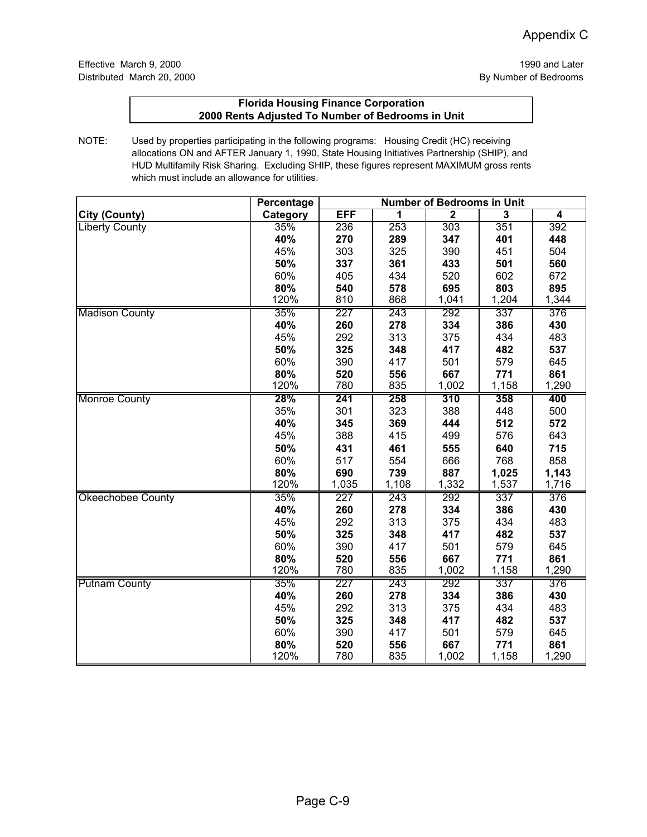|                          | <b>Percentage</b> | <b>Number of Bedrooms in Unit</b> |       |                  |       |       |
|--------------------------|-------------------|-----------------------------------|-------|------------------|-------|-------|
| <b>City (County)</b>     | Category          | <b>EFF</b>                        | 1     | $\overline{2}$   | 3     | 4     |
| <b>Liberty County</b>    | 35%               | 236                               | 253   | 303              | 351   | 392   |
|                          | 40%               | 270                               | 289   | 347              | 401   | 448   |
|                          | 45%               | 303                               | 325   | 390              | 451   | 504   |
|                          | 50%               | 337                               | 361   | 433              | 501   | 560   |
|                          | 60%               | 405                               | 434   | 520              | 602   | 672   |
|                          | 80%               | 540                               | 578   | 695              | 803   | 895   |
|                          | 120%              | 810                               | 868   | 1,041            | 1,204 | 1,344 |
| <b>Madison County</b>    | 35%               | 227                               | 243   | 292              | 337   | 376   |
|                          | 40%               | 260                               | 278   | 334              | 386   | 430   |
|                          | 45%               | 292                               | 313   | 375              | 434   | 483   |
|                          | 50%               | 325                               | 348   | 417              | 482   | 537   |
|                          | 60%               | 390                               | 417   | 501              | 579   | 645   |
|                          | 80%               | 520                               | 556   | 667              | 771   | 861   |
|                          | 120%              | 780                               | 835   | 1,002            | 1,158 | 1,290 |
| <b>Monroe County</b>     | 28%               | 241                               | 258   | $\overline{310}$ | 358   | 400   |
|                          | 35%               | 301                               | 323   | 388              | 448   | 500   |
|                          | 40%               | 345                               | 369   | 444              | 512   | 572   |
|                          | 45%               | 388                               | 415   | 499              | 576   | 643   |
|                          | 50%               | 431                               | 461   | 555              | 640   | 715   |
|                          | 60%               | 517                               | 554   | 666              | 768   | 858   |
|                          | 80%               | 690                               | 739   | 887              | 1,025 | 1,143 |
|                          | 120%              | 1,035                             | 1,108 | 1,332            | 1,537 | 1,716 |
| <b>Okeechobee County</b> | 35%               | 227                               | 243   | 292              | 337   | 376   |
|                          | 40%               | 260                               | 278   | 334              | 386   | 430   |
|                          | 45%               | 292                               | 313   | 375              | 434   | 483   |
|                          | 50%               | 325                               | 348   | 417              | 482   | 537   |
|                          | 60%               | 390                               | 417   | 501              | 579   | 645   |
|                          | 80%               | 520                               | 556   | 667              | 771   | 861   |
|                          | 120%              | 780                               | 835   | 1,002            | 1,158 | 1,290 |
| <b>Putnam County</b>     | 35%               | 227                               | 243   | 292              | 337   | 376   |
|                          | 40%               | 260                               | 278   | 334              | 386   | 430   |
|                          | 45%               | 292                               | 313   | 375              | 434   | 483   |
|                          | 50%               | 325                               | 348   | 417              | 482   | 537   |
|                          | 60%               | 390                               | 417   | 501              | 579   | 645   |
|                          | 80%               | 520                               | 556   | 667              | 771   | 861   |
|                          | 120%              | 780                               | 835   | 1,002            | 1,158 | 1,290 |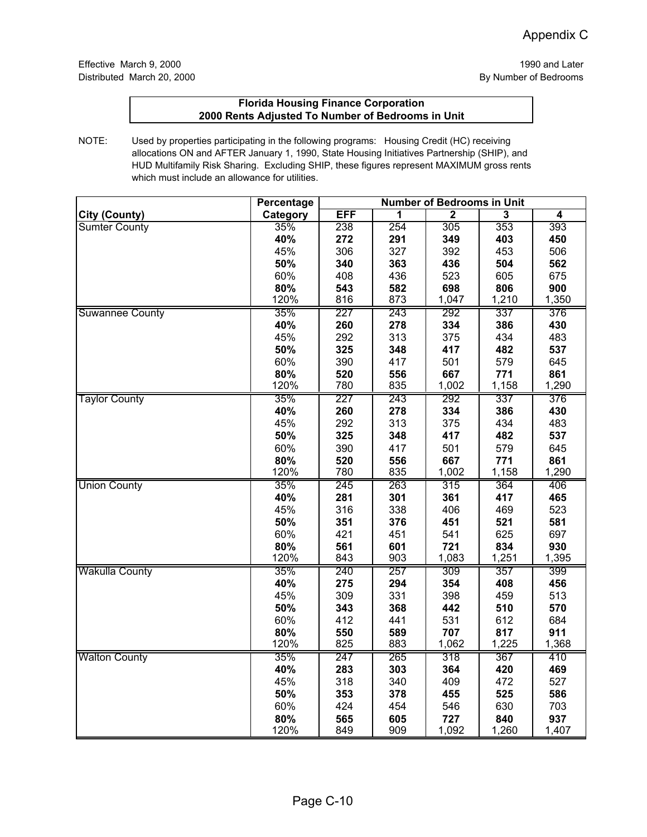|                        | <b>Percentage</b> | <b>Number of Bedrooms in Unit</b> |                         |                |                |              |
|------------------------|-------------------|-----------------------------------|-------------------------|----------------|----------------|--------------|
| <b>City (County)</b>   | Category          | <b>EFF</b>                        | $\overline{\mathbf{1}}$ | $\overline{2}$ | $\overline{3}$ | 4            |
| <b>Sumter County</b>   | 35%               | 238                               | 254                     | 305            | 353            | 393          |
|                        | 40%               | 272                               | 291                     | 349            | 403            | 450          |
|                        | 45%               | 306                               | 327                     | 392            | 453            | 506          |
|                        | 50%               | 340                               | 363                     | 436            | 504            | 562          |
|                        | 60%               | 408                               | 436                     | 523            | 605            | 675          |
|                        | 80%               | 543                               | 582                     | 698            | 806            | 900          |
|                        | 120%              | 816                               | 873                     | 1,047          | 1,210          | 1,350        |
| <b>Suwannee County</b> | 35%               | 227                               | 243                     | 292            | 337            | 376          |
|                        | 40%               | 260                               | 278                     | 334            | 386            | 430          |
|                        | 45%               | 292                               | 313                     | 375            | 434            | 483          |
|                        | 50%               | 325                               | 348                     | 417            | 482            | 537          |
|                        | 60%               | 390                               | 417                     | 501            | 579            | 645          |
|                        | 80%               | 520                               | 556                     | 667            | 771            | 861          |
|                        | 120%              | 780                               | 835                     | 1,002          | 1,158          | 1,290        |
| <b>Taylor County</b>   | 35%               | 227                               | 243                     | 292            | 337            | 376          |
|                        | 40%               | 260                               | 278                     | 334            | 386            | 430          |
|                        | 45%               | 292                               | 313                     | 375            | 434            | 483          |
|                        | 50%               | 325                               | 348                     | 417            | 482            | 537          |
|                        | 60%               | 390                               | 417                     | 501            | 579            | 645          |
|                        | 80%               | 520                               | 556                     | 667            | 771            | 861          |
|                        | 120%              | 780                               | 835                     | 1,002          | 1,158          | 1,290        |
| <b>Union County</b>    | 35%               | 245                               | 263                     | 315            | 364            | 406          |
|                        | 40%               | 281                               | 301                     | 361            | 417            | 465          |
|                        | 45%               | 316                               | 338                     | 406            | 469            | 523          |
|                        | 50%               | 351                               | 376                     | 451            | 521            | 581          |
|                        | 60%               | 421                               | 451                     | 541            | 625            | 697          |
|                        | 80%               | 561                               | 601                     | 721            | 834            | 930          |
|                        | 120%              | 843                               | 903                     | 1,083          | 1,251          | 1,395        |
| <b>Wakulla County</b>  | 35%               | 240                               | 257                     | 309            | 357            | 399          |
|                        | 40%               | 275                               | 294                     | 354            | 408            | 456          |
|                        | 45%               | 309                               | 331                     | 398            | 459            | 513          |
|                        | 50%               | 343                               | 368                     | 442            | 510            | 570          |
|                        | 60%               | 412                               | 441                     | 531            | 612            | 684          |
|                        | 80%<br>120%       | 550<br>825                        | 589<br>883              | 707<br>1,062   | 817<br>1,225   | 911<br>1,368 |
|                        |                   |                                   |                         |                |                |              |
| <b>Walton County</b>   | 35%<br>40%        | 247                               | 265                     | 318            | 367            | 410          |
|                        | 45%               | 283                               | 303                     | 364<br>409     | 420<br>472     | 469<br>527   |
|                        |                   | 318                               | 340                     |                |                |              |
|                        | 50%<br>60%        | 353<br>424                        | 378<br>454              | 455            | 525<br>630     | 586<br>703   |
|                        | 80%               | 565                               | 605                     | 546<br>727     | 840            | 937          |
|                        | 120%              | 849                               | 909                     | 1,092          | 1,260          | 1,407        |
|                        |                   |                                   |                         |                |                |              |